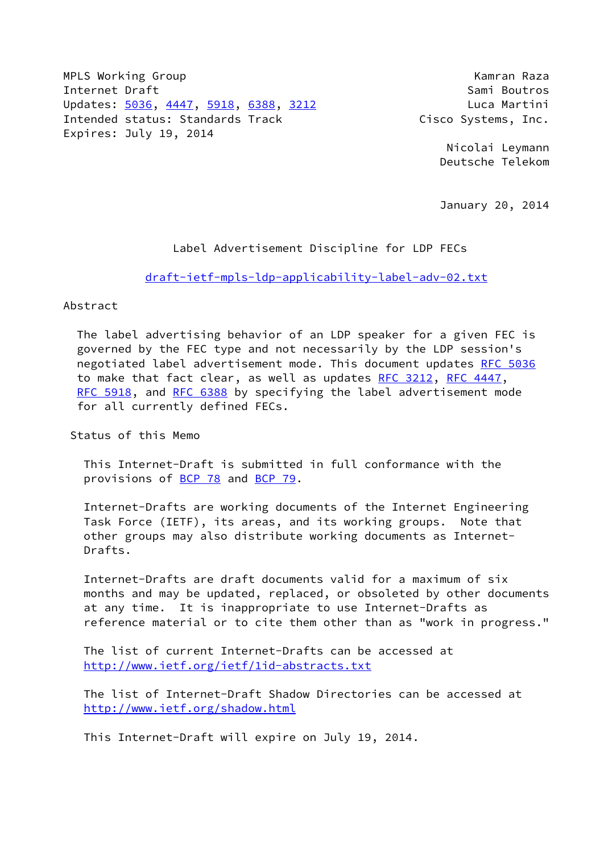MPLS Working Group **Kamran Raza** Internet Draft Sami Boutros (Sami Boutros New York) Updates: [5036](https://datatracker.ietf.org/doc/pdf/rfc5036), [4447,](https://datatracker.ietf.org/doc/pdf/rfc4447) [5918](https://datatracker.ietf.org/doc/pdf/rfc5918), [6388](https://datatracker.ietf.org/doc/pdf/rfc6388), [3212](https://datatracker.ietf.org/doc/pdf/rfc3212) Luca Martini Intended status: Standards Track Cisco Systems, Inc. Expires: July 19, 2014

 Nicolai Leymann Deutsche Telekom

January 20, 2014

#### Label Advertisement Discipline for LDP FECs

[draft-ietf-mpls-ldp-applicability-label-adv-02.txt](https://datatracker.ietf.org/doc/pdf/draft-ietf-mpls-ldp-applicability-label-adv-02.txt)

## Abstract

 The label advertising behavior of an LDP speaker for a given FEC is governed by the FEC type and not necessarily by the LDP session's negotiated label advertisement mode. This document updates [RFC 5036](https://datatracker.ietf.org/doc/pdf/rfc5036) to make that fact clear, as well as updates [RFC 3212,](https://datatracker.ietf.org/doc/pdf/rfc3212) [RFC 4447](https://datatracker.ietf.org/doc/pdf/rfc4447), [RFC 5918,](https://datatracker.ietf.org/doc/pdf/rfc5918) and [RFC 6388](https://datatracker.ietf.org/doc/pdf/rfc6388) by specifying the label advertisement mode for all currently defined FECs.

Status of this Memo

 This Internet-Draft is submitted in full conformance with the provisions of [BCP 78](https://datatracker.ietf.org/doc/pdf/bcp78) and [BCP 79](https://datatracker.ietf.org/doc/pdf/bcp79).

 Internet-Drafts are working documents of the Internet Engineering Task Force (IETF), its areas, and its working groups. Note that other groups may also distribute working documents as Internet- Drafts.

 Internet-Drafts are draft documents valid for a maximum of six months and may be updated, replaced, or obsoleted by other documents at any time. It is inappropriate to use Internet-Drafts as reference material or to cite them other than as "work in progress."

 The list of current Internet-Drafts can be accessed at <http://www.ietf.org/ietf/1id-abstracts.txt>

 The list of Internet-Draft Shadow Directories can be accessed at <http://www.ietf.org/shadow.html>

This Internet-Draft will expire on July 19, 2014.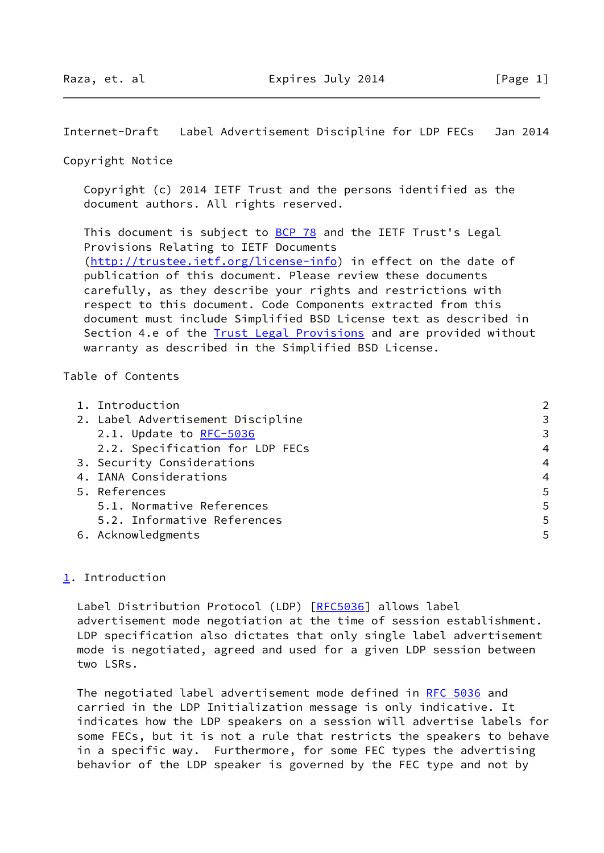Internet-Draft Label Advertisement Discipline for LDP FECs Jan 2014

Copyright Notice

 Copyright (c) 2014 IETF Trust and the persons identified as the document authors. All rights reserved.

This document is subject to **[BCP 78](https://datatracker.ietf.org/doc/pdf/bcp78)** and the IETF Trust's Legal Provisions Relating to IETF Documents [\(http://trustee.ietf.org/license-info](http://trustee.ietf.org/license-info)) in effect on the date of publication of this document. Please review these documents carefully, as they describe your rights and restrictions with respect to this document. Code Components extracted from this document must include Simplified BSD License text as described in Section 4.e of the **[Trust Legal Provisions](https://trustee.ietf.org/license-info)** and are provided without warranty as described in the Simplified BSD License.

## Table of Contents

| 1. Introduction                   |                |
|-----------------------------------|----------------|
| 2. Label Advertisement Discipline | 3              |
| 2.1. Update to RFC-5036           | 3              |
| 2.2. Specification for LDP FECs   | $\overline{4}$ |
| 3. Security Considerations        | $\overline{4}$ |
| 4. IANA Considerations            | 4              |
| 5. References                     | 5              |
| 5.1. Normative References         | 5              |
| 5.2. Informative References       | 5              |
| 6. Acknowledgments                | 5              |

# <span id="page-1-0"></span>[1](#page-1-0). Introduction

Label Distribution Protocol (LDP) [\[RFC5036](https://datatracker.ietf.org/doc/pdf/rfc5036)] allows label advertisement mode negotiation at the time of session establishment. LDP specification also dictates that only single label advertisement mode is negotiated, agreed and used for a given LDP session between two LSRs.

 The negotiated label advertisement mode defined in [RFC 5036](https://datatracker.ietf.org/doc/pdf/rfc5036) and carried in the LDP Initialization message is only indicative. It indicates how the LDP speakers on a session will advertise labels for some FECs, but it is not a rule that restricts the speakers to behave in a specific way. Furthermore, for some FEC types the advertising behavior of the LDP speaker is governed by the FEC type and not by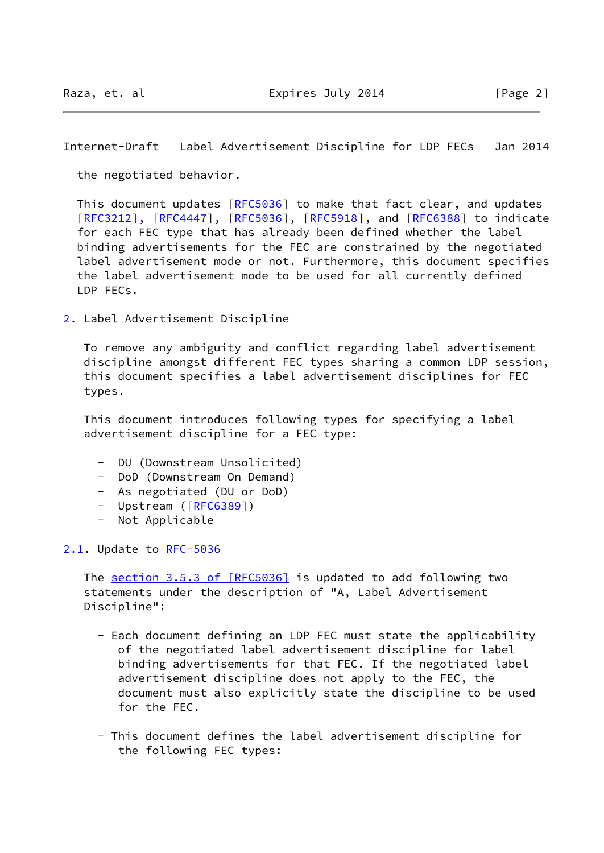Internet-Draft Label Advertisement Discipline for LDP FECs Jan 2014

the negotiated behavior.

This document updates [\[RFC5036](https://datatracker.ietf.org/doc/pdf/rfc5036)] to make that fact clear, and updates [\[RFC3212](https://datatracker.ietf.org/doc/pdf/rfc3212)], [[RFC4447](https://datatracker.ietf.org/doc/pdf/rfc4447)], [\[RFC5036](https://datatracker.ietf.org/doc/pdf/rfc5036)], [\[RFC5918](https://datatracker.ietf.org/doc/pdf/rfc5918)], and [\[RFC6388](https://datatracker.ietf.org/doc/pdf/rfc6388)] to indicate for each FEC type that has already been defined whether the label binding advertisements for the FEC are constrained by the negotiated label advertisement mode or not. Furthermore, this document specifies the label advertisement mode to be used for all currently defined LDP FECs.

<span id="page-2-0"></span>[2](#page-2-0). Label Advertisement Discipline

 To remove any ambiguity and conflict regarding label advertisement discipline amongst different FEC types sharing a common LDP session, this document specifies a label advertisement disciplines for FEC types.

 This document introduces following types for specifying a label advertisement discipline for a FEC type:

- DU (Downstream Unsolicited)
- DoD (Downstream On Demand)
- As negotiated (DU or DoD)
- Upstream ([\[RFC6389](https://datatracker.ietf.org/doc/pdf/rfc6389)])
- Not Applicable

<span id="page-2-1"></span>[2.1](#page-2-1). Update to [RFC-5036](https://datatracker.ietf.org/doc/pdf/rfc5036)

The section [3.5.3 of \[RFC5036\]](https://datatracker.ietf.org/doc/pdf/rfc5036#section-3.5.3) is updated to add following two statements under the description of "A, Label Advertisement Discipline":

- Each document defining an LDP FEC must state the applicability of the negotiated label advertisement discipline for label binding advertisements for that FEC. If the negotiated label advertisement discipline does not apply to the FEC, the document must also explicitly state the discipline to be used for the FEC.
- This document defines the label advertisement discipline for the following FEC types: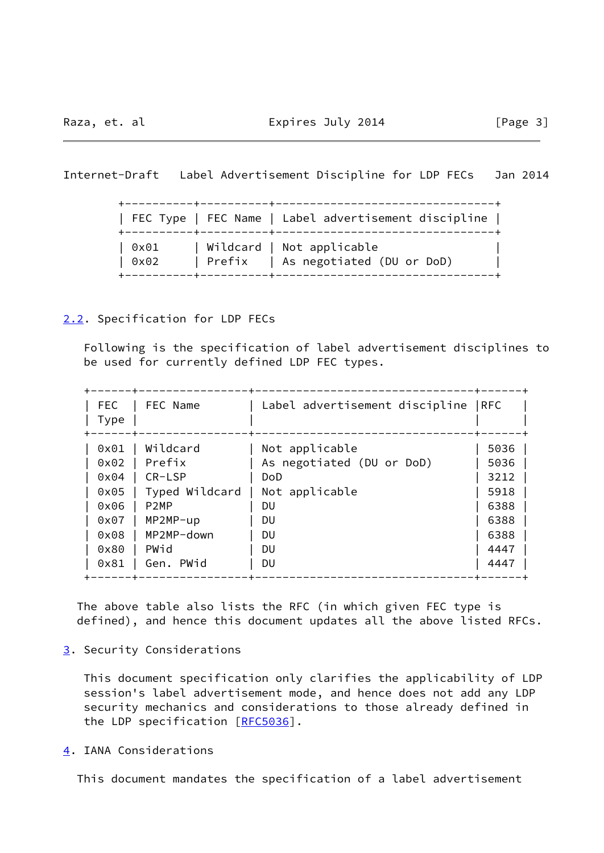Internet-Draft Label Advertisement Discipline for LDP FECs Jan 2014

 +----------+----------+--------------------------------+ | FEC Type | FEC Name | Label advertisement discipline | +----------+----------+--------------------------------+ | 0x01 | Wildcard | Not applicable | | 0x02 | Prefix | As negotiated (DU or DoD) | +----------+----------+--------------------------------+

# <span id="page-3-0"></span>[2.2](#page-3-0). Specification for LDP FECs

 Following is the specification of label advertisement disciplines to be used for currently defined LDP FEC types.

| <b>FEC</b><br>Type | FEC Name          | Label advertisement discipline  RFC |      |
|--------------------|-------------------|-------------------------------------|------|
| 0x01               | Wildcard          | Not applicable                      | 5036 |
| 0x02               | Prefix            | As negotiated (DU or DoD)           | 5036 |
| 0x04               | CR-LSP            | <b>DoD</b>                          | 3212 |
| 0x05               | Typed Wildcard    | Not applicable                      | 5918 |
| 0x06               | P <sub>2</sub> MP | DU                                  | 6388 |
| 0x07               | MP2MP-up          | DU                                  | 6388 |
| 0x08               | MP2MP-down        | DU                                  | 6388 |
| 0x80               | PWid              | DU                                  | 4447 |
| 0x81               | Gen. PWid         | DU                                  | 4447 |

 The above table also lists the RFC (in which given FEC type is defined), and hence this document updates all the above listed RFCs.

<span id="page-3-1"></span>[3](#page-3-1). Security Considerations

 This document specification only clarifies the applicability of LDP session's label advertisement mode, and hence does not add any LDP security mechanics and considerations to those already defined in the LDP specification [[RFC5036](https://datatracker.ietf.org/doc/pdf/rfc5036)].

<span id="page-3-2"></span>[4](#page-3-2). IANA Considerations

This document mandates the specification of a label advertisement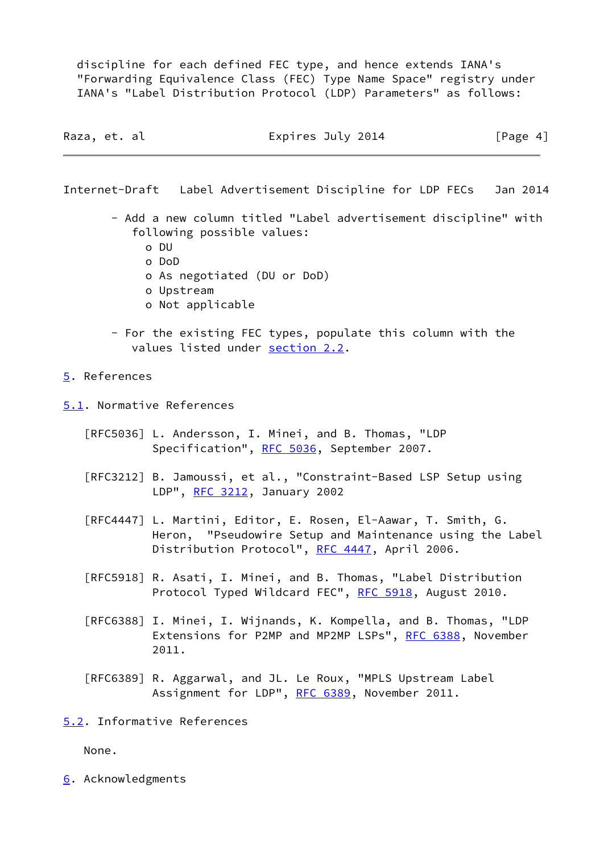discipline for each defined FEC type, and hence extends IANA's "Forwarding Equivalence Class (FEC) Type Name Space" registry under IANA's "Label Distribution Protocol (LDP) Parameters" as follows:

| Raza, et. al | Expires July 2014 | [Page 4] |  |
|--------------|-------------------|----------|--|
|              |                   |          |  |

Internet-Draft Label Advertisement Discipline for LDP FECs Jan 2014

- Add a new column titled "Label advertisement discipline" with following possible values:
	- o DU
	- o DoD
	- o As negotiated (DU or DoD)
	- o Upstream
	- o Not applicable
- For the existing FEC types, populate this column with the values listed under [section 2.2](#page-3-0).

# <span id="page-4-0"></span>[5](#page-4-0). References

<span id="page-4-1"></span>[5.1](#page-4-1). Normative References

- [RFC5036] L. Andersson, I. Minei, and B. Thomas, "LDP Specification", [RFC 5036](https://datatracker.ietf.org/doc/pdf/rfc5036), September 2007.
- [RFC3212] B. Jamoussi, et al., "Constraint-Based LSP Setup using LDP", [RFC 3212](https://datatracker.ietf.org/doc/pdf/rfc3212), January 2002
- [RFC4447] L. Martini, Editor, E. Rosen, El-Aawar, T. Smith, G. Heron, "Pseudowire Setup and Maintenance using the Label Distribution Protocol", [RFC 4447](https://datatracker.ietf.org/doc/pdf/rfc4447), April 2006.
- [RFC5918] R. Asati, I. Minei, and B. Thomas, "Label Distribution Protocol Typed Wildcard FEC", [RFC 5918](https://datatracker.ietf.org/doc/pdf/rfc5918), August 2010.
- [RFC6388] I. Minei, I. Wijnands, K. Kompella, and B. Thomas, "LDP Extensions for P2MP and MP2MP LSPs", [RFC 6388,](https://datatracker.ietf.org/doc/pdf/rfc6388) November 2011.
- [RFC6389] R. Aggarwal, and JL. Le Roux, "MPLS Upstream Label Assignment for LDP", [RFC 6389,](https://datatracker.ietf.org/doc/pdf/rfc6389) November 2011.
- <span id="page-4-2"></span>[5.2](#page-4-2). Informative References

None.

<span id="page-4-3"></span>[6](#page-4-3). Acknowledgments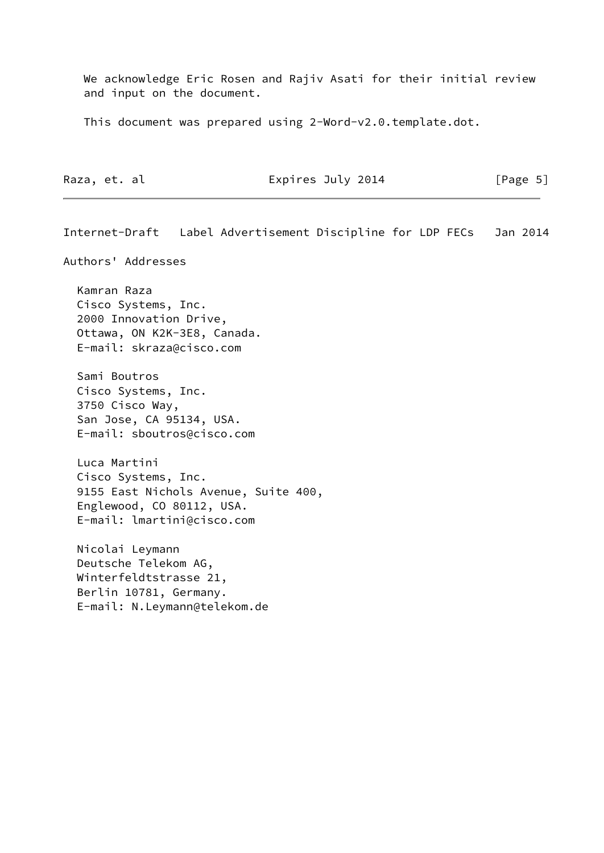We acknowledge Eric Rosen and Rajiv Asati for their initial review and input on the document.

This document was prepared using 2-Word-v2.0.template.dot.

| Expires July 2014<br>Raza, et. al | [Page 5] |
|-----------------------------------|----------|
|-----------------------------------|----------|

Internet-Draft Label Advertisement Discipline for LDP FECs Jan 2014 Authors' Addresses Kamran Raza Cisco Systems, Inc. 2000 Innovation Drive, Ottawa, ON K2K-3E8, Canada. E-mail: skraza@cisco.com Sami Boutros Cisco Systems, Inc. 3750 Cisco Way, San Jose, CA 95134, USA. E-mail: sboutros@cisco.com Luca Martini Cisco Systems, Inc. 9155 East Nichols Avenue, Suite 400, Englewood, CO 80112, USA. E-mail: lmartini@cisco.com Nicolai Leymann Deutsche Telekom AG, Winterfeldtstrasse 21, Berlin 10781, Germany. E-mail: N.Leymann@telekom.de